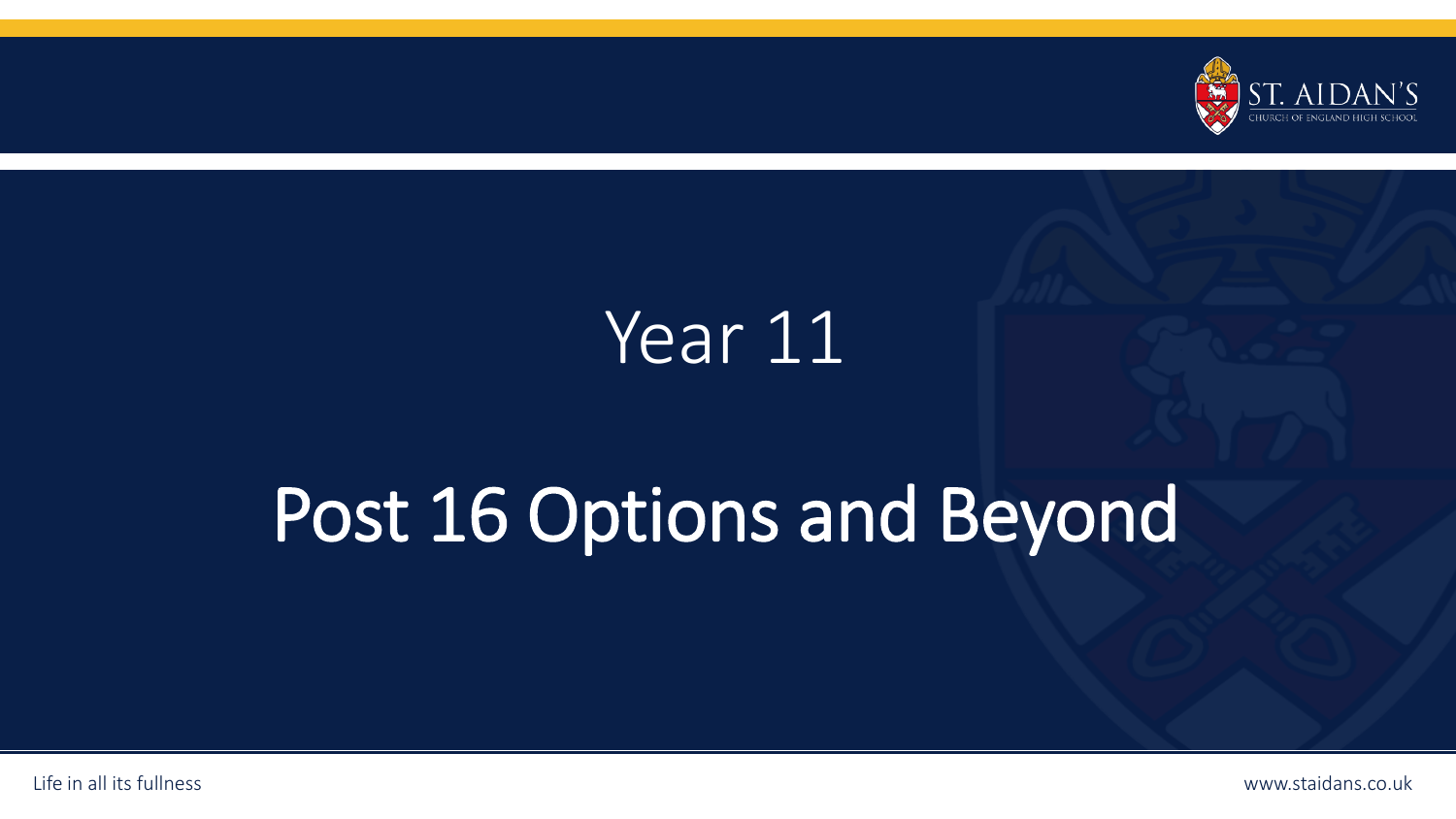

# Year 11

# Post 16 Options and Beyond

Life in all its fullness www.staidans.co.uk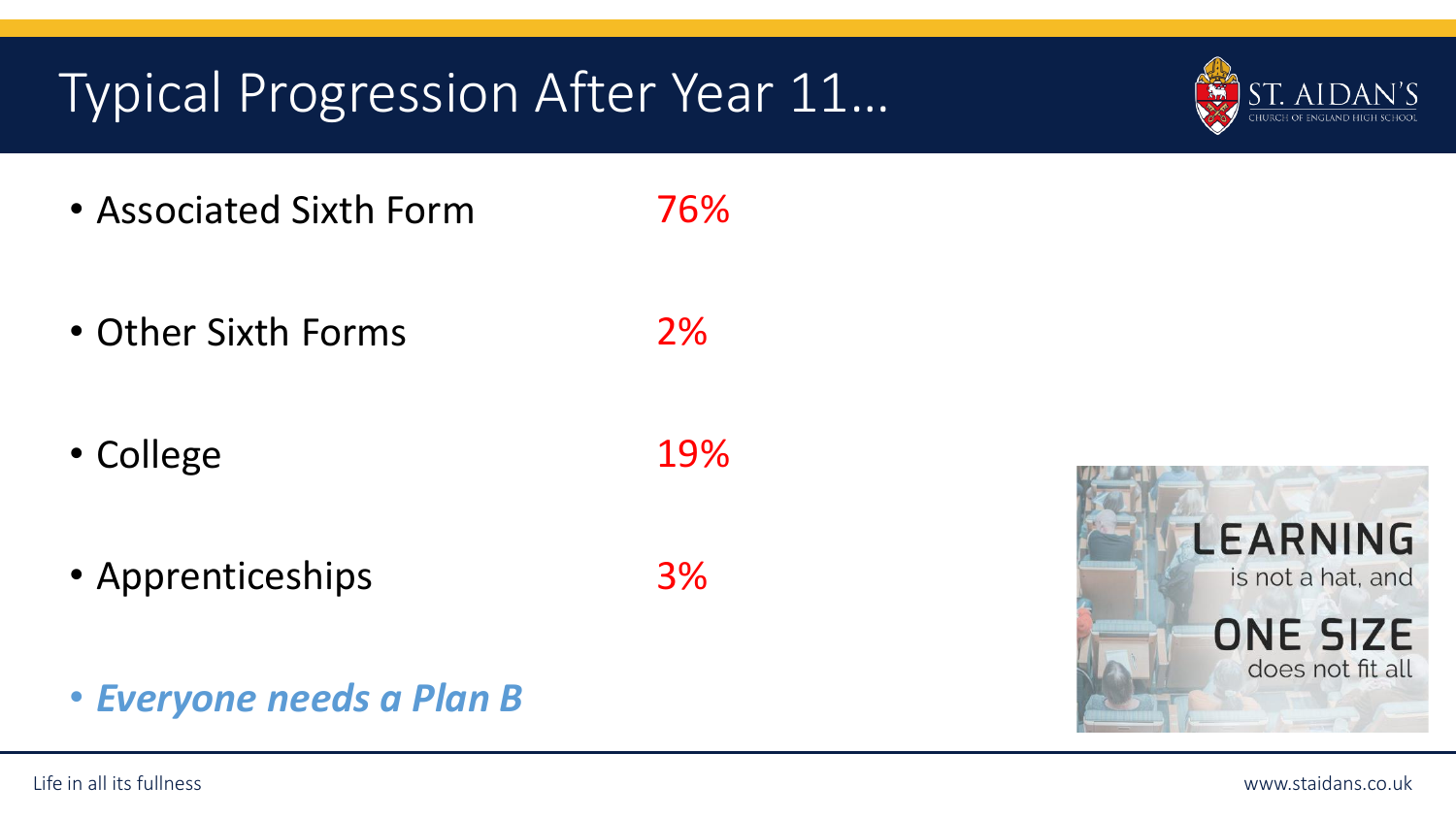#### Life in all its fullness www.staidans.co.uk

### Typical Progression After Year 11…

- Associated Sixth Form
- Other Sixth Forms
- College
- Apprenticeships
- *Everyone needs a Plan B*

3%

19%

76%

2%



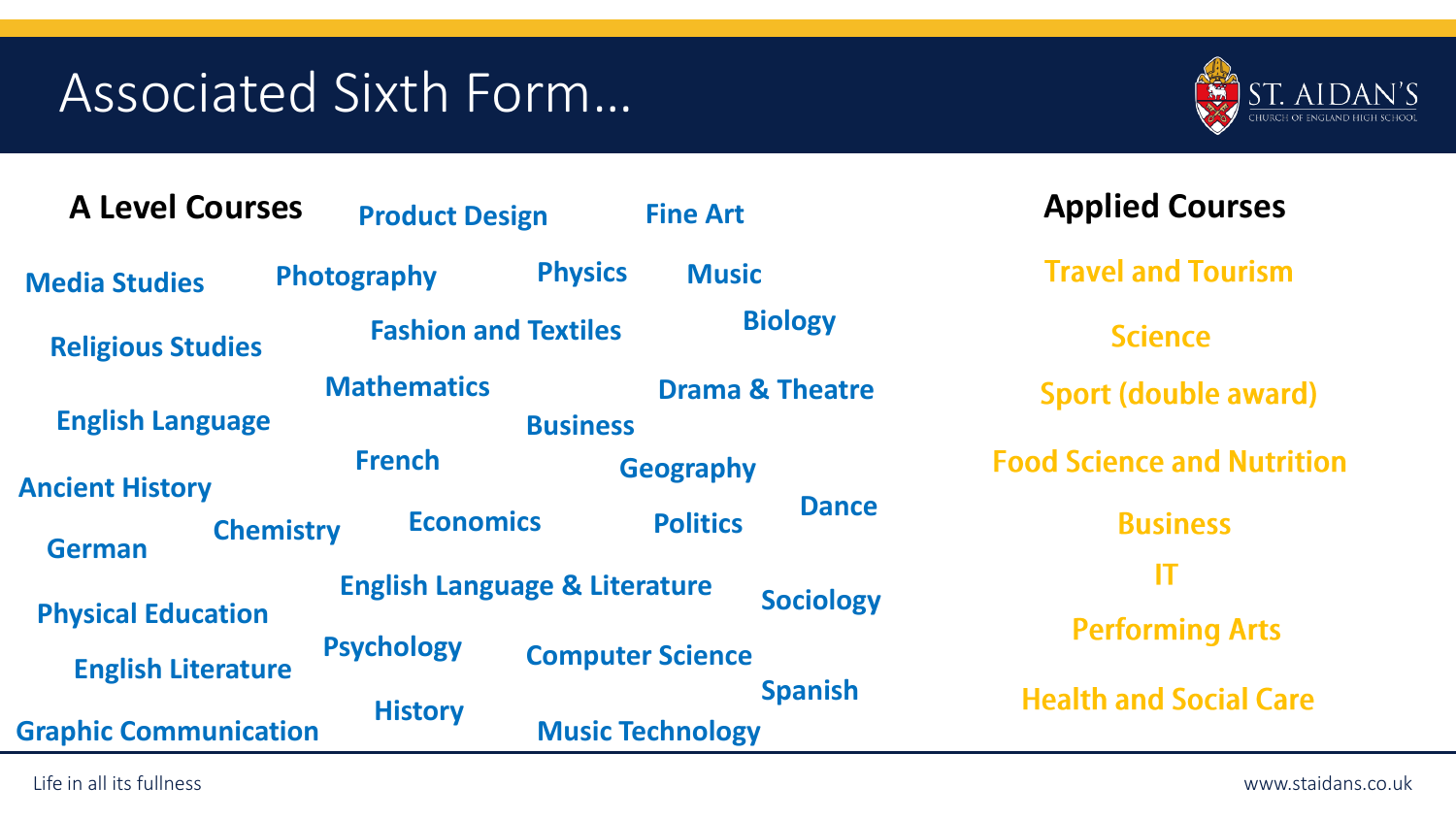### Associated Sixth Form…



| <b>A Level Courses</b>            | <b>Product Design</b>       |                                                              | <b>Fine Art</b>  |                            | <b>Applied Courses</b>            |
|-----------------------------------|-----------------------------|--------------------------------------------------------------|------------------|----------------------------|-----------------------------------|
| <b>Media Studies</b>              | Photography                 | <b>Physics</b>                                               | <b>Music</b>     |                            | <b>Travel and Tourism</b>         |
| <b>Religious Studies</b>          | <b>Fashion and Textiles</b> |                                                              | <b>Biology</b>   |                            | <b>Science</b>                    |
| <b>English Language</b>           | <b>Mathematics</b>          | <b>Business</b>                                              |                  | <b>Drama &amp; Theatre</b> | <b>Sport (double award)</b>       |
| <b>Ancient History</b>            | <b>French</b>               |                                                              | <b>Geography</b> |                            | <b>Food Science and Nutrition</b> |
| <b>Chemistry</b><br><b>German</b> | <b>Economics</b>            |                                                              | <b>Politics</b>  | <b>Dance</b>               | <b>Business</b>                   |
| <b>Physical Education</b>         |                             | <b>English Language &amp; Literature</b><br><b>Sociology</b> |                  |                            | IT                                |
|                                   | <b>Psychology</b>           | <b>Computer Science</b>                                      |                  |                            | <b>Performing Arts</b>            |
| <b>English Literature</b>         | <b>History</b>              |                                                              |                  | <b>Spanish</b>             | <b>Health and Social Care</b>     |
| <b>Graphic Communication</b>      |                             | <b>Music Technology</b>                                      |                  |                            |                                   |

Life in all its fullness www.staidans.co.uk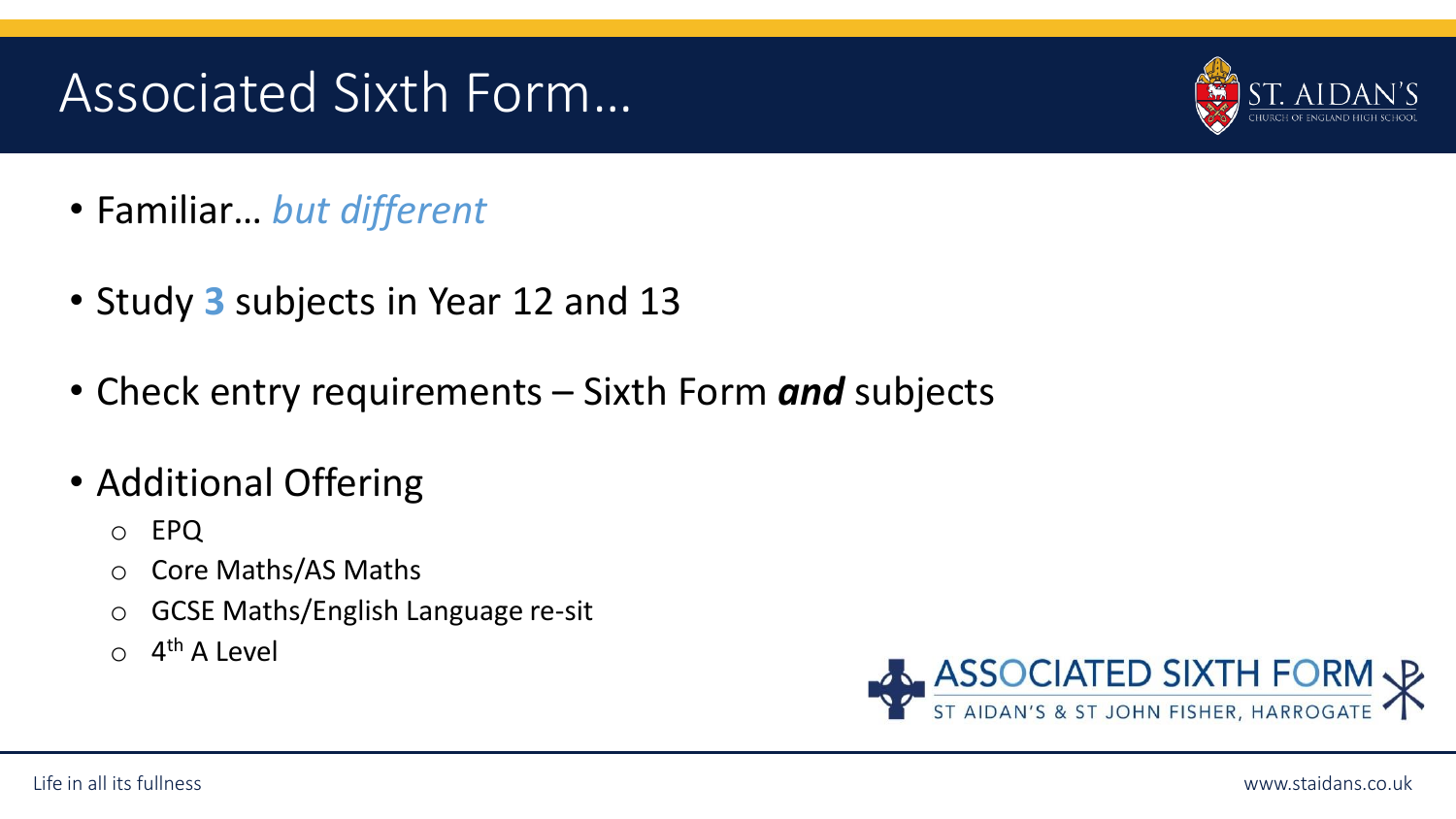### Associated Sixth Form…



- Familiar… *but different*
- Study **3** subjects in Year 12 and 13
- Check entry requirements Sixth Form *and* subjects
- Additional Offering
	- o EPQ
	- o Core Maths/AS Maths
	- o GCSE Maths/English Language re-sit
	- $\circ$  4<sup>th</sup> A Level

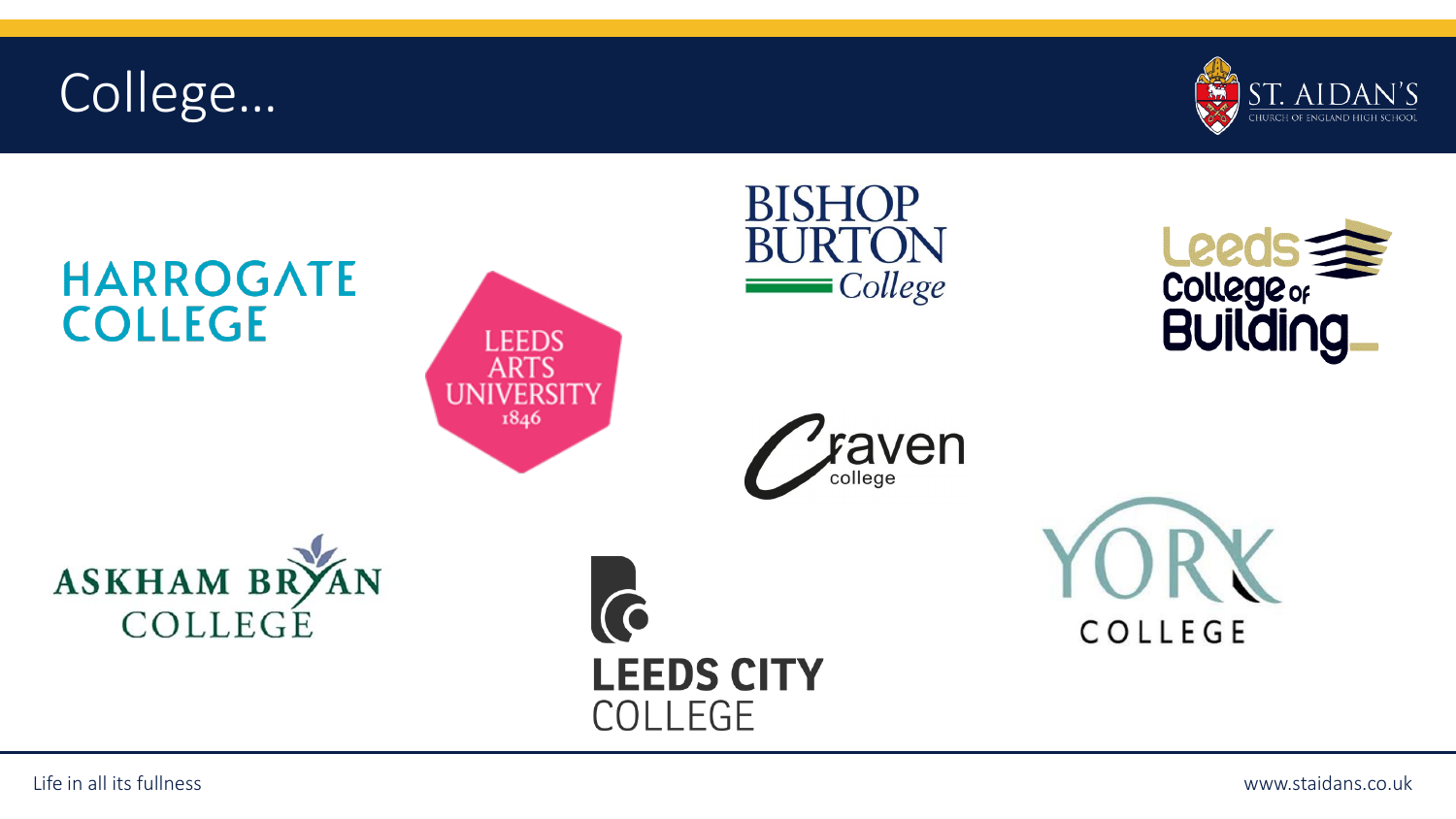### College…



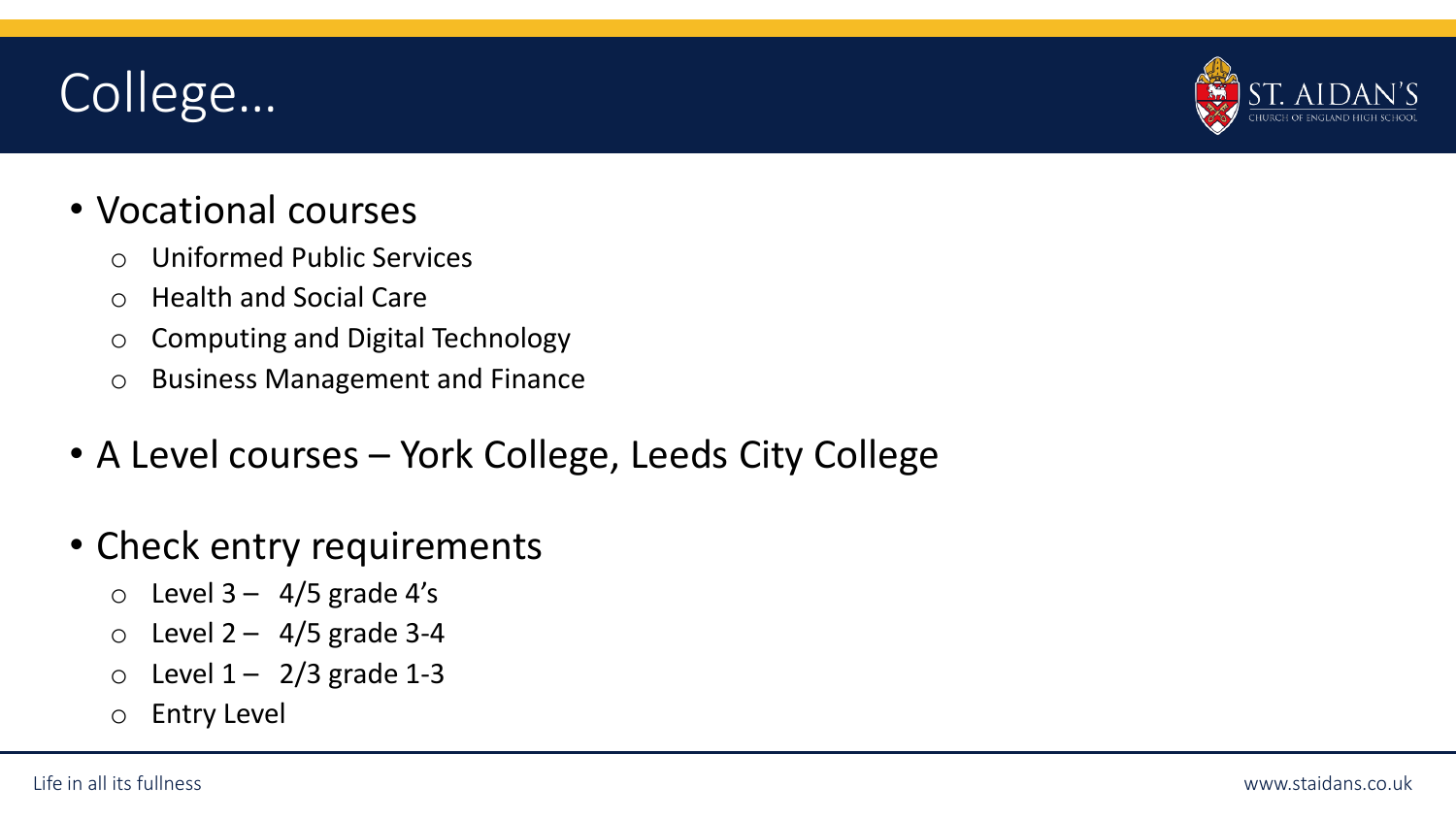## College…



### • Vocational courses

- o Uniformed Public Services
- o Health and Social Care
- o Computing and Digital Technology
- o Business Management and Finance
- A Level courses York College, Leeds City College
- Check entry requirements
	- $\circ$  Level 3 4/5 grade 4's
	- $\circ$  Level 2 4/5 grade 3-4
	- $\circ$  Level 1 2/3 grade 1-3
	- o Entry Level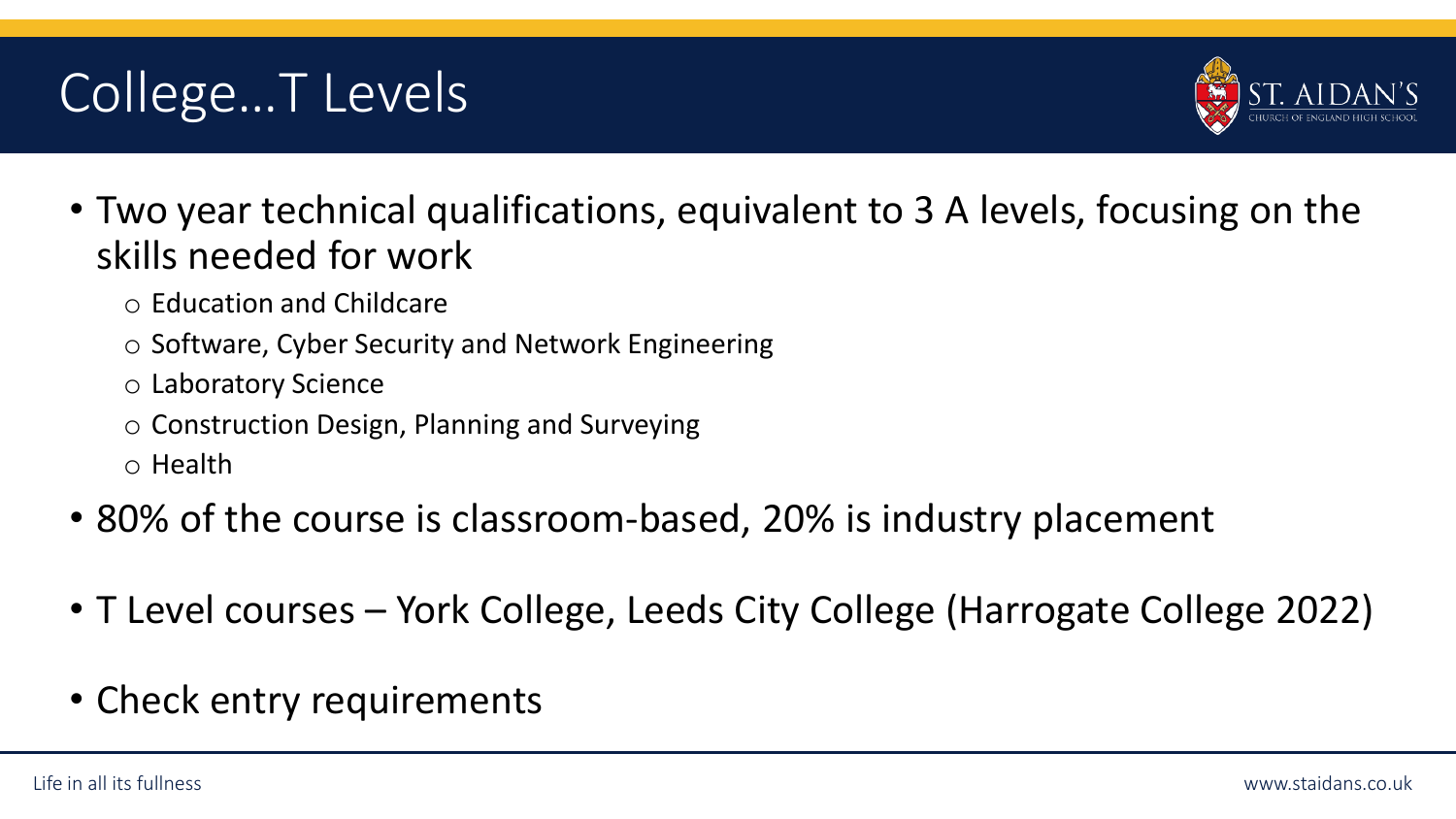## College…T Levels



- Two year technical qualifications, equivalent to 3 A levels, focusing on the skills needed for work
	- o Education and Childcare
	- o Software, Cyber Security and Network Engineering
	- o Laboratory Science
	- o Construction Design, Planning and Surveying
	- o Health
- 80% of the course is classroom-based, 20% is industry placement
- T Level courses York College, Leeds City College (Harrogate College 2022)
- Check entry requirements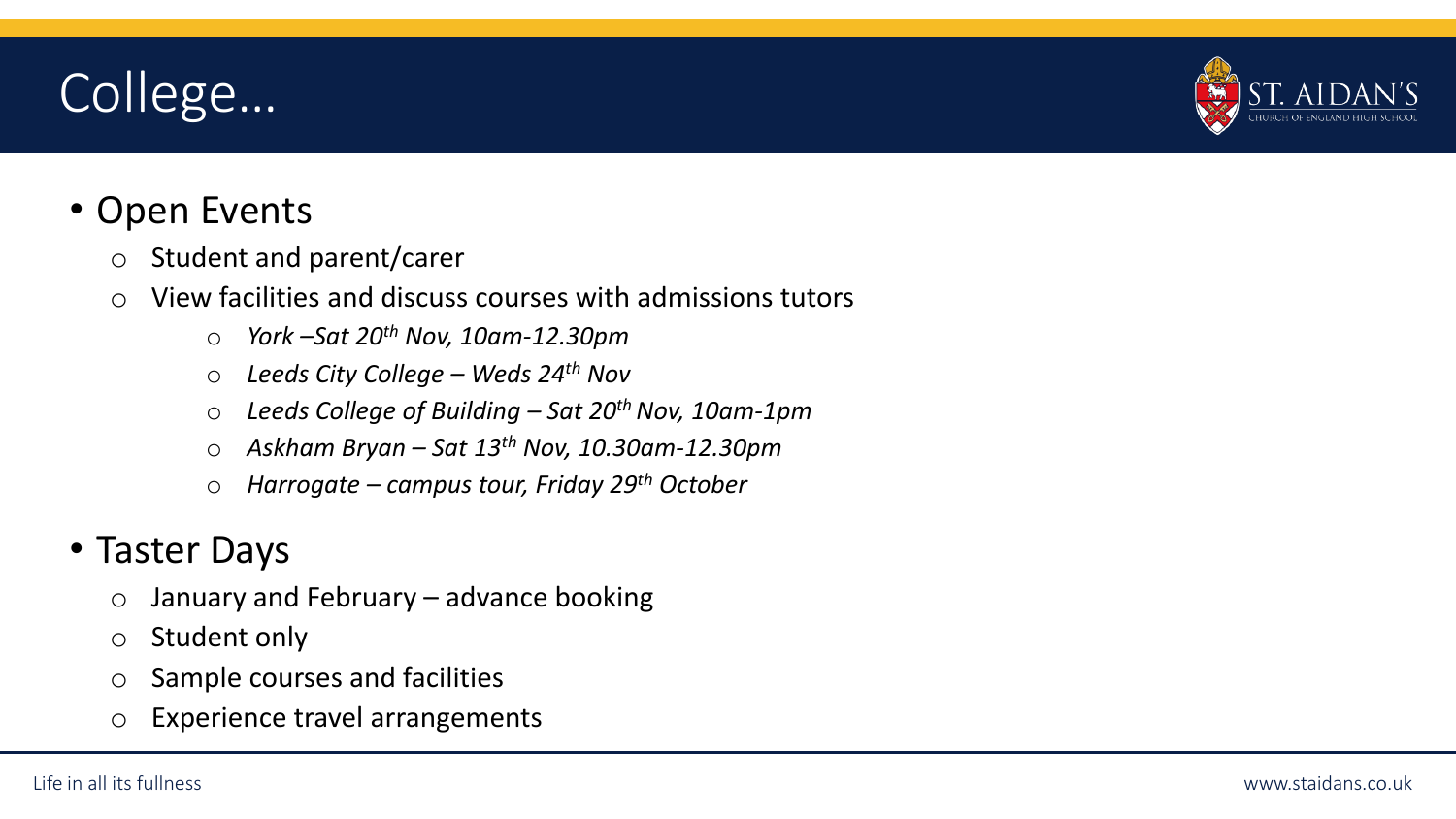## College…



### • Open Events

- o Student and parent/carer
- o View facilities and discuss courses with admissions tutors
	- o *York –Sat 20th Nov, 10am-12.30pm*
	- o *Leeds City College – Weds 24th Nov*
	- o *Leeds College of Building – Sat 20th Nov, 10am-1pm*
	- o *Askham Bryan – Sat 13th Nov, 10.30am-12.30pm*
	- o *Harrogate – campus tour, Friday 29th October*

### • Taster Days

- $\circ$  January and February advance booking
- o Student only
- $\circ$  Sample courses and facilities
- o Experience travel arrangements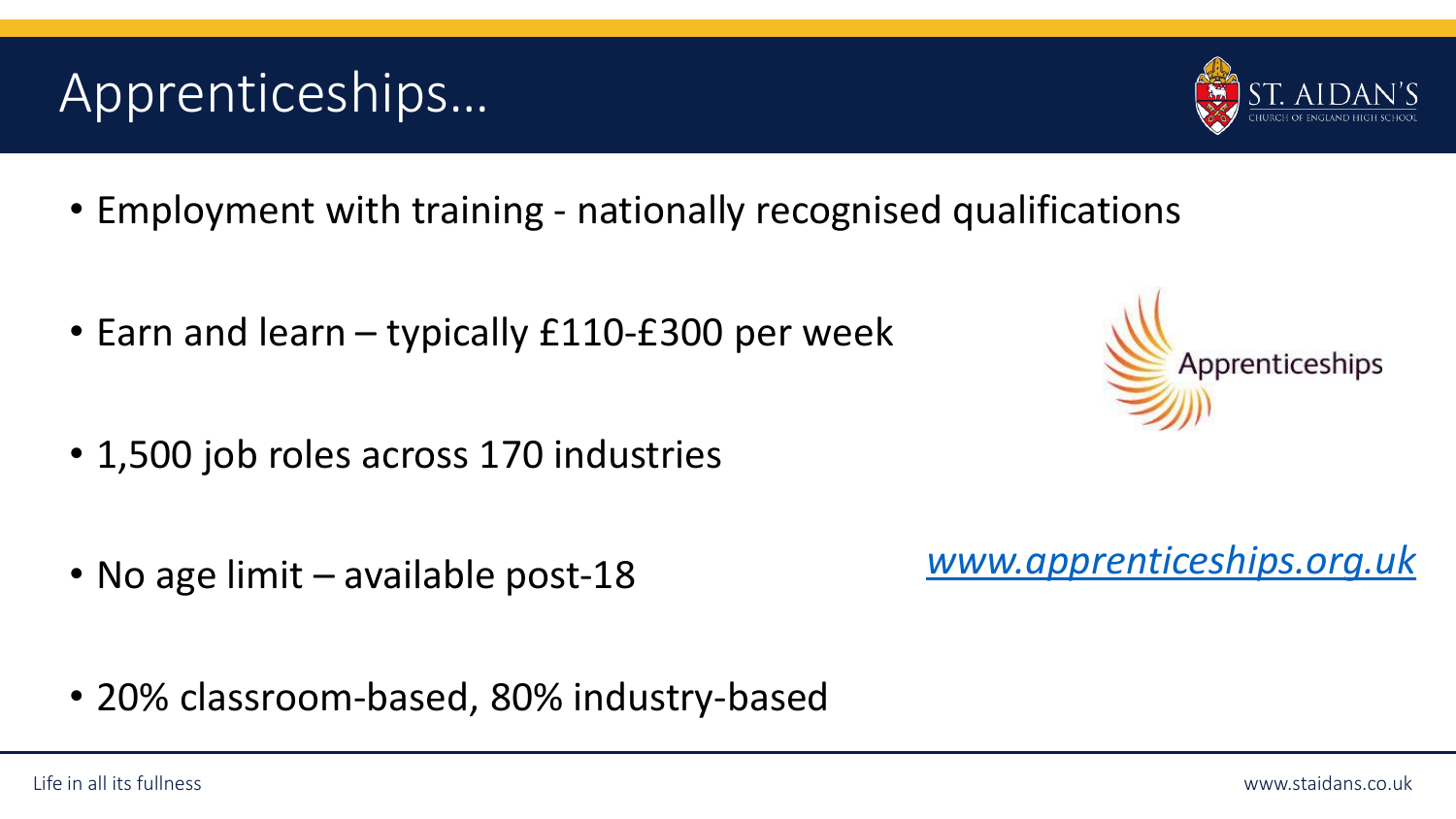#### Life in all its fullness www.staidans.co.uk

• 20% classroom-based, 80% industry-based

• Earn and learn – typically £110-£300 per week

- 
- No age limit available post-18

• 1,500 job roles across 170 industries

*[www.apprenticeships.org.uk](http://www.apprenticeships.org.uk/)*



• Employment with training - nationally recognised qualifications



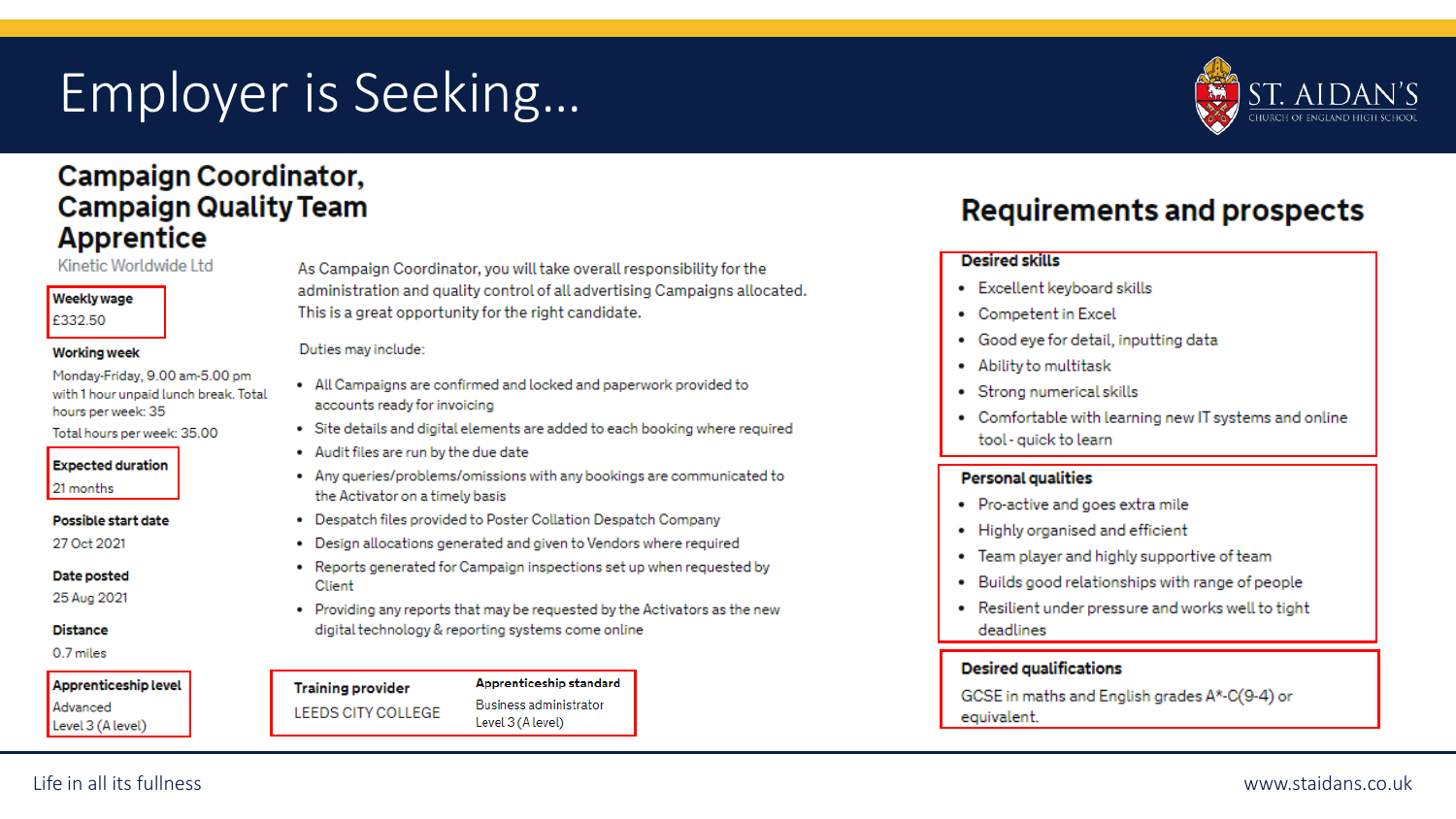## Employer is Seeking…



#### **Campaign Coordinator, Campaign Quality Team Apprentice**

Kinetic Worldwide Ltd

#### **Weekly wage**

£332.50

#### **Working week**

Monday-Friday, 9.00 am-5.00 pm with 1 hour unpaid lunch break. Total hours per week: 35

Total hours per week: 35.00

#### **Expected duration**

21 months

#### Possible start date

27 Oct 2021

#### Date posted

25 Aug 2021

#### **Distance**

0.7 miles

Advanced

Level 3 (A level)

#### **Training provider**

LEEDS CITY COLLEGE

Apprenticeship standard **Business administrator** Level 3 (A level)

As Campaign Coordinator, you will take overall responsibility for the administration and quality control of all advertising Campaigns allocated. This is a great opportunity for the right candidate.

#### Duties may include:

- . All Campaigns are confirmed and locked and paperwork provided to accounts ready for invoicing
- Site details and digital elements are added to each booking where required
- . Audit files are run by the due date
- . Any queries/problems/omissions with any bookings are communicated to the Activator on a timely basis
- . Despatch files provided to Poster Collation Despatch Company
- Design allocations generated and given to Vendors where required
- Reports generated for Campaign inspections set up when requested by Client
- Providing any reports that may be requested by the Activators as the new digital technology & reporting systems come online

### **Requirements and prospects**

#### **Desired skills**

- · Excellent keyboard skills
- Competent in Excel
- Good eve for detail, inputting data ٠
- Ability to multitask ٠
- Strong numerical skills ٠
- Comfortable with learning new IT systems and online tool - quick to learn

#### **Personal qualities**

- Pro-active and goes extra mile
- Highly organised and efficient
- Team player and highly supportive of team  $\bullet$
- Builds good relationships with range of people
- Resilient under pressure and works well to tight ٠ deadlines

#### **Desired qualifications**

GCSE in maths and English grades A\*-C(9-4) or equivalent.

**Apprenticeship level**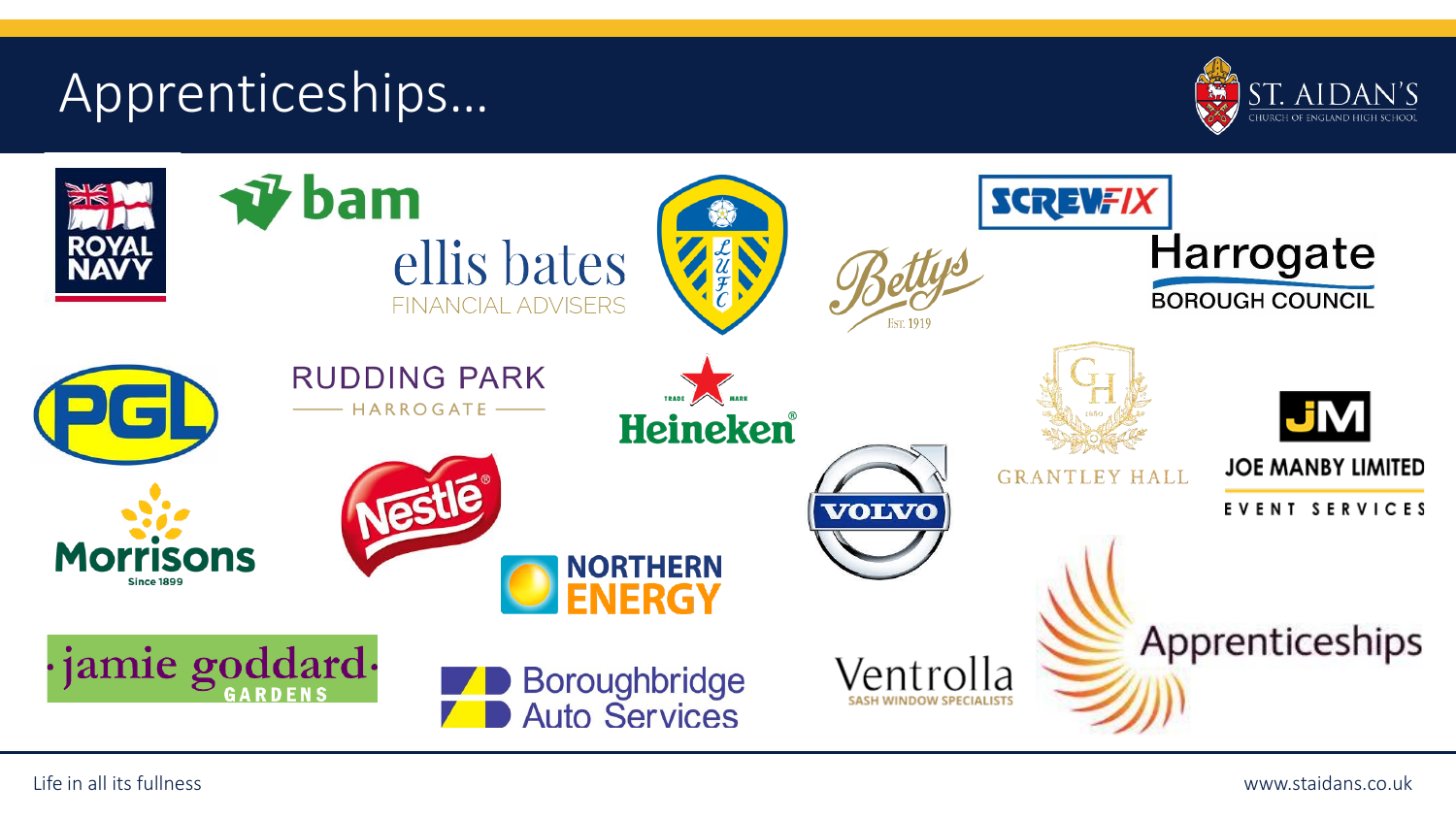### Apprenticeships…



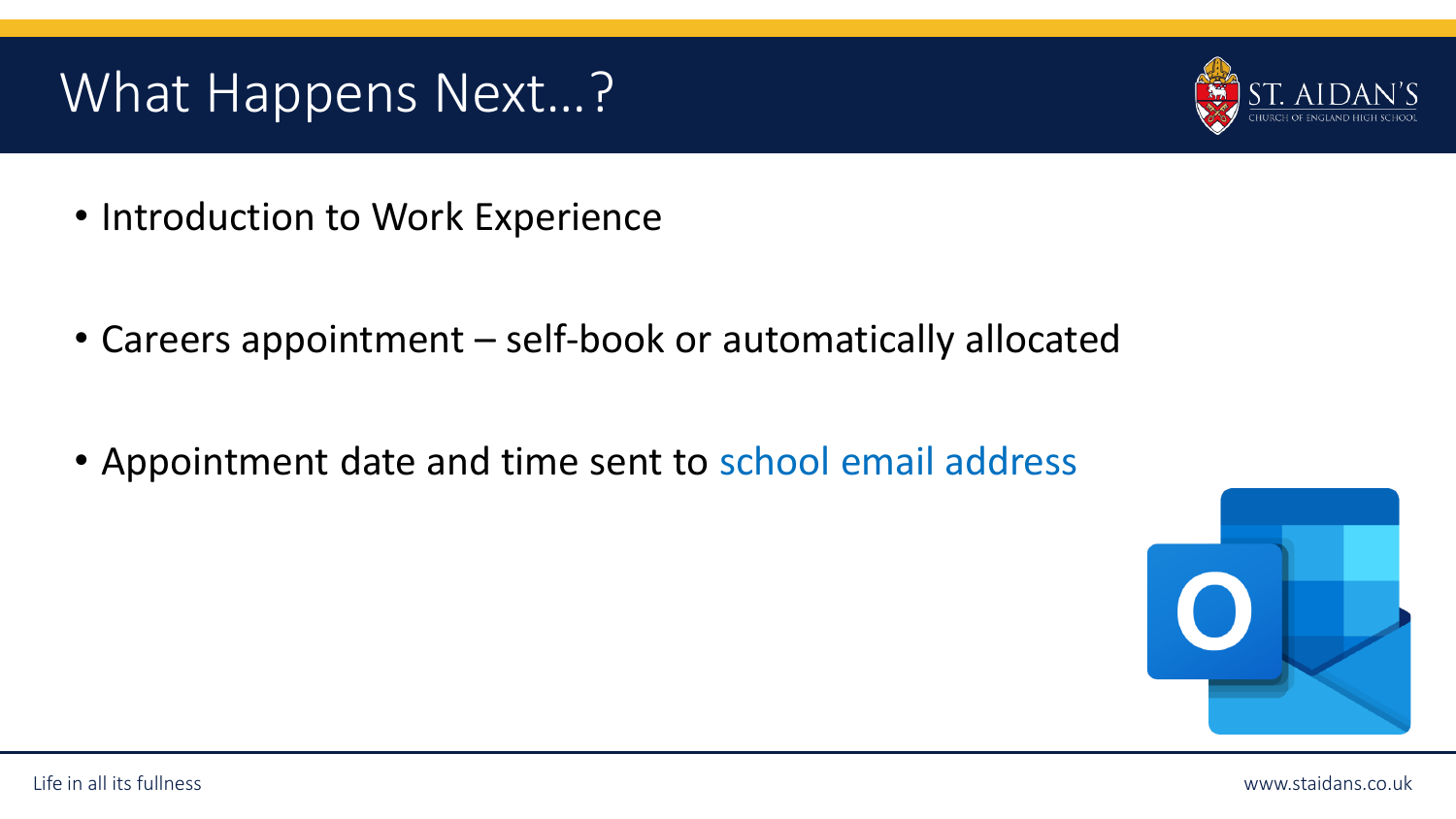## What Happens Next…?



- Introduction to Work Experience
- Careers appointment self-book or automatically allocated
- Appointment date and time sent to school email address